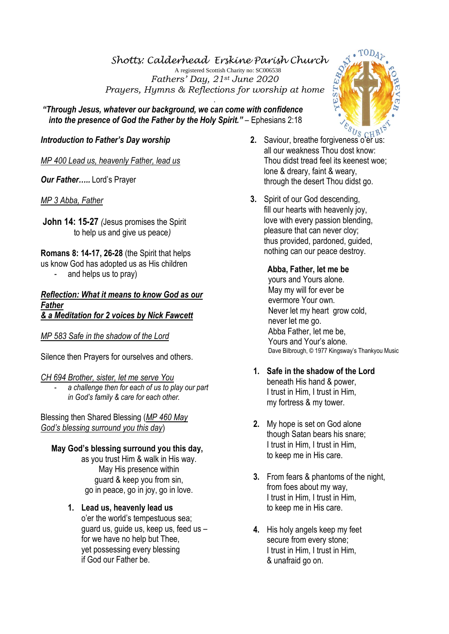*Shotts: Calderhead Erskine Parish Church* A registered Scottish Charity no: SC006538 *Fathers' Day, 21st June 2020 Prayers, Hymns & Reflections for worship at home*

.  *"Through Jesus, whatever our background, we can come with confidence into the presence of God the Father by the Holy Spirit." – Ephesians 2:18* 

# *Introduction to Father's Day worship*

*MP 400 Lead us, heavenly Father, lead us*

*Our Father…..* Lord's Prayer

*MP 3 Abba, Father*

**John 14: 15-27** *(*Jesus promises the Spirit to help us and give us peace*)*

**Romans 8: 14-17, 26-28** (the Spirit that helps us know God has adopted us as His children

and helps us to pray)

#### *Reflection: What it means to know God as our Father & a Meditation for 2 voices by Nick Fawcett*

*MP 583 Safe in the shadow of the Lord*

Silence then Prayers for ourselves and others.

*CH 694 Brother, sister, let me serve You* 

- *a challenge then for each of us to play our part in God's family & care for each other.* 

Blessing then Shared Blessing (*MP 460 May God's blessing surround you this day*)

# **May God's blessing surround you this day,**

as you trust Him & walk in His way. May His presence within guard & keep you from sin, go in peace, go in joy, go in love.

# **1. Lead us, heavenly lead us**

o'er the world's tempestuous sea; guard us, guide us, keep us, feed us – for we have no help but Thee, yet possessing every blessing if God our Father be.

- <sup>2/8</sup>7<sub>8 CHB</sub> all our weakness Thou dost know: Thou didst tread feel its keenest woe; lone & dreary, faint & weary, through the desert Thou didst go.
- **3.** Spirit of our God descending, fill our hearts with heavenly joy, love with every passion blending, pleasure that can never cloy; thus provided, pardoned, guided, nothing can our peace destroy.

 **Abba, Father, let me be**  yours and Yours alone. May my will for ever be evermore Your own. Never let my heart grow cold, never let me go. Abba Father, let me be, Yours and Your's alone. Dave Bilbrough, © 1977 Kingsway's Thankyou Music

- **1. Safe in the shadow of the Lord**  beneath His hand & power, I trust in Him, I trust in Him, my fortress & my tower.
- **2.** My hope is set on God alone though Satan bears his snare; I trust in Him, I trust in Him, to keep me in His care.
- **3.** From fears & phantoms of the night, from foes about my way, I trust in Him, I trust in Him, to keep me in His care.
- **4.** His holy angels keep my feet secure from every stone; I trust in Him, I trust in Him, & unafraid go on.